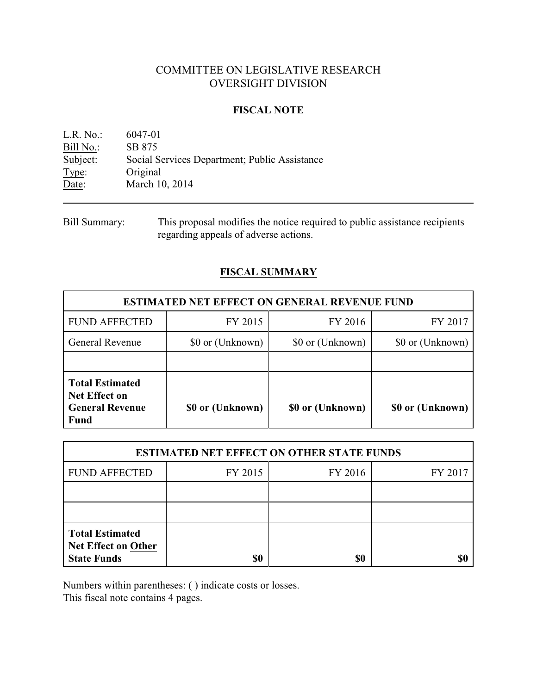# COMMITTEE ON LEGISLATIVE RESEARCH OVERSIGHT DIVISION

### **FISCAL NOTE**

L.R. No.: 6047-01 Bill No.: SB 875<br>Subject: Social S Social Services Department; Public Assistance Type: Original Date: March 10, 2014

## **FISCAL SUMMARY**

| <b>ESTIMATED NET EFFECT ON GENERAL REVENUE FUND</b>                                     |                  |                                      |                  |  |
|-----------------------------------------------------------------------------------------|------------------|--------------------------------------|------------------|--|
| <b>FUND AFFECTED</b>                                                                    | FY 2015          | FY 2016                              | FY 2017          |  |
| General Revenue                                                                         | \$0 or (Unknown) | \$0 or (Unknown)<br>\$0 or (Unknown) |                  |  |
|                                                                                         |                  |                                      |                  |  |
| <b>Total Estimated</b><br><b>Net Effect on</b><br><b>General Revenue</b><br><b>Fund</b> | \$0 or (Unknown) | \$0 or (Unknown)                     | \$0 or (Unknown) |  |

| <b>ESTIMATED NET EFFECT ON OTHER STATE FUNDS</b>                           |         |         |         |  |
|----------------------------------------------------------------------------|---------|---------|---------|--|
| <b>FUND AFFECTED</b>                                                       | FY 2015 | FY 2016 | FY 2017 |  |
|                                                                            |         |         |         |  |
|                                                                            |         |         |         |  |
| <b>Total Estimated</b><br><b>Net Effect on Other</b><br><b>State Funds</b> | \$0     | \$0     |         |  |

Numbers within parentheses: ( ) indicate costs or losses.

This fiscal note contains 4 pages.

Bill Summary: This proposal modifies the notice required to public assistance recipients regarding appeals of adverse actions.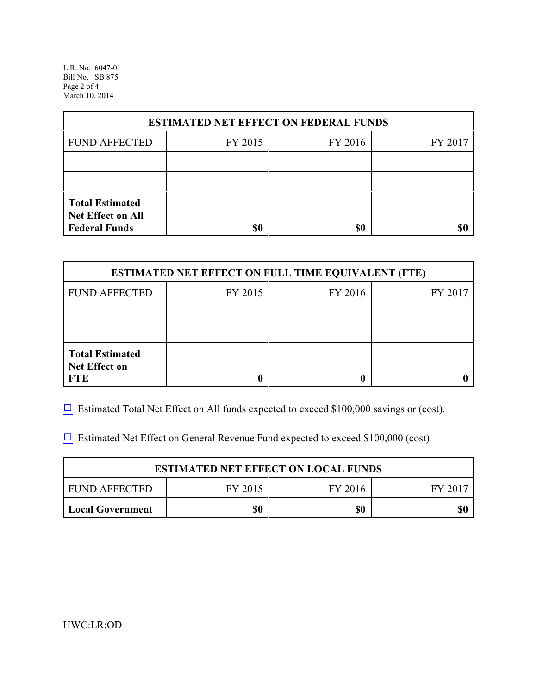L.R. No. 6047-01 Bill No. SB 875 Page 2 of 4 March 10, 2014

| <b>ESTIMATED NET EFFECT ON FEDERAL FUNDS</b> |         |         |         |  |
|----------------------------------------------|---------|---------|---------|--|
| <b>FUND AFFECTED</b>                         | FY 2015 | FY 2016 | FY 2017 |  |
|                                              |         |         |         |  |
|                                              |         |         |         |  |
| <b>Total Estimated</b><br>Net Effect on All  |         |         |         |  |
| <b>Federal Funds</b>                         | \$0     | \$0     |         |  |

| <b>ESTIMATED NET EFFECT ON FULL TIME EQUIVALENT (FTE)</b>    |         |         |         |  |
|--------------------------------------------------------------|---------|---------|---------|--|
| <b>FUND AFFECTED</b>                                         | FY 2015 | FY 2016 | FY 2017 |  |
|                                                              |         |         |         |  |
|                                                              |         |         |         |  |
| <b>Total Estimated</b><br><b>Net Effect on</b><br><b>FTE</b> |         |         |         |  |

 $\Box$  Estimated Total Net Effect on All funds expected to exceed \$100,000 savings or (cost).

 $\Box$  Estimated Net Effect on General Revenue Fund expected to exceed \$100,000 (cost).

| <b>ESTIMATED NET EFFECT ON LOCAL FUNDS</b> |         |         |         |
|--------------------------------------------|---------|---------|---------|
| FUND AFFECTED                              | FY 2015 | FY 2016 | FY 2017 |
| <b>Local Government</b>                    | \$0     | \$0     | \$0     |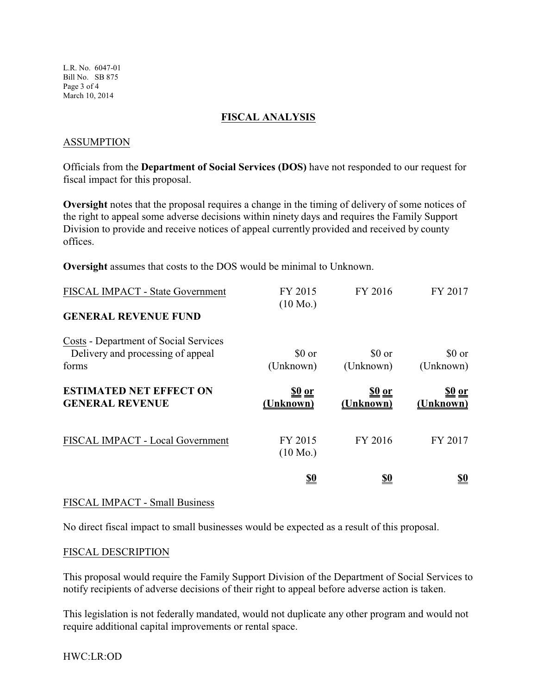L.R. No. 6047-01 Bill No. SB 875 Page 3 of 4 March 10, 2014

### **FISCAL ANALYSIS**

### ASSUMPTION

Officials from the **Department of Social Services (DOS)** have not responded to our request for fiscal impact for this proposal.

**Oversight** notes that the proposal requires a change in the timing of delivery of some notices of the right to appeal some adverse decisions within ninety days and requires the Family Support Division to provide and receive notices of appeal currently provided and received by county offices.

**Oversight** assumes that costs to the DOS would be minimal to Unknown.

| FISCAL IMPACT - State Government                                                    | FY 2015<br>$(10 \text{ Mo.})$ | FY 2016             | FY 2017                    |
|-------------------------------------------------------------------------------------|-------------------------------|---------------------|----------------------------|
| <b>GENERAL REVENUE FUND</b>                                                         |                               |                     |                            |
| Costs - Department of Social Services<br>Delivery and processing of appeal<br>forms | \$0 or<br>(Unknown)           | \$0 or<br>(Unknown) | \$0 or<br>(Unknown)        |
| <b>ESTIMATED NET EFFECT ON</b><br><b>GENERAL REVENUE</b>                            | <u>\$0 or</u><br>(Unknown)    | 80 or<br>(Unknown)  | <u>\$0 or</u><br>(Unknown) |
| FISCAL IMPACT - Local Government                                                    | FY 2015<br>$(10 \text{ Mo.})$ | FY 2016             | FY 2017                    |
|                                                                                     | <u>\$0</u>                    | <u>\$0</u>          | <u>\$0</u>                 |

#### FISCAL IMPACT - Small Business

No direct fiscal impact to small businesses would be expected as a result of this proposal.

#### FISCAL DESCRIPTION

This proposal would require the Family Support Division of the Department of Social Services to notify recipients of adverse decisions of their right to appeal before adverse action is taken.

This legislation is not federally mandated, would not duplicate any other program and would not require additional capital improvements or rental space.

HWC:LR:OD